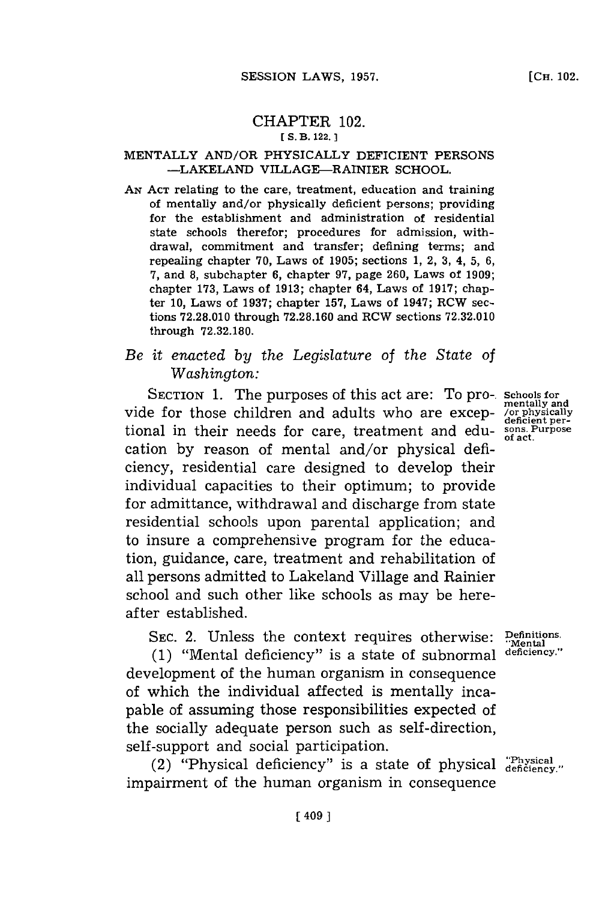### CHAPTER 102. **[ S. B. 122. 1**

## MENTALLY AND/OR PHYSICALLY DEFICIENT **PERSONS -LAKELAND** VILLAGE-RAINIER **SCHOOL.**

**AN ACT** relating to the care, treatment, education and training of mentally and/or physically deficient persons; providing for the establishment and administration of residential state schools therefor; procedures for admission, withdrawal, commitment and transfer; defining terms; and repealing chapter **70,** Laws of **1905;** sections **1,** 2, **3,** 4, **5, 6, 7,** and **8,** subchapter **6,** chapter **97,** page **260,** Laws of **1909;** chapter **173,** Laws of **1913;** chapter 64, Laws of **1917;** chapter **10,** Laws of **1937;** chapter **157,** Laws of 1947; RCW sections **72.28.010** through **72.28.160** and RCW sections **72.32.010** through **72.32.180.**

# *Be it enacted by the Legislature of the State of Washington:*

SECTION 1. The purposes of this act are: To pro-. Schools for wentally and vide for those children and adults who are excep- *senificially* tional in their needs for care, treatment and edu- **sons. Purpose** cation **by** reason of mental and/or physical deficiency, residential care designed to develop their individual capacities to their optimum; to provide for admittance, withdrawal and discharge from state residential schools upon parental application; and to insure a comprehensive program for the education, guidance, care, treatment and rehabilitation of all persons admitted to Lakeland Village and Rainier school and such other like schools as may be hereafter established.

SEC. 2. Unless the context requires otherwise: **Definitions.**<br>(1) "Mental deficiency" is a state of subpormal deficiency."

**(1)** "Mental deficiency" is a state of subnormal **deficiency."** development of the human organism in consequence of which the individual affected is mentally incapable of assuming those responsibilities expected of the socially adequate person such as self-direction, self-support and social participation.

(2) "Physical deficiency" is a state of physical  $_{\text{deficiency}}^{\text{physical}}$ " impairment of the human organism in consequence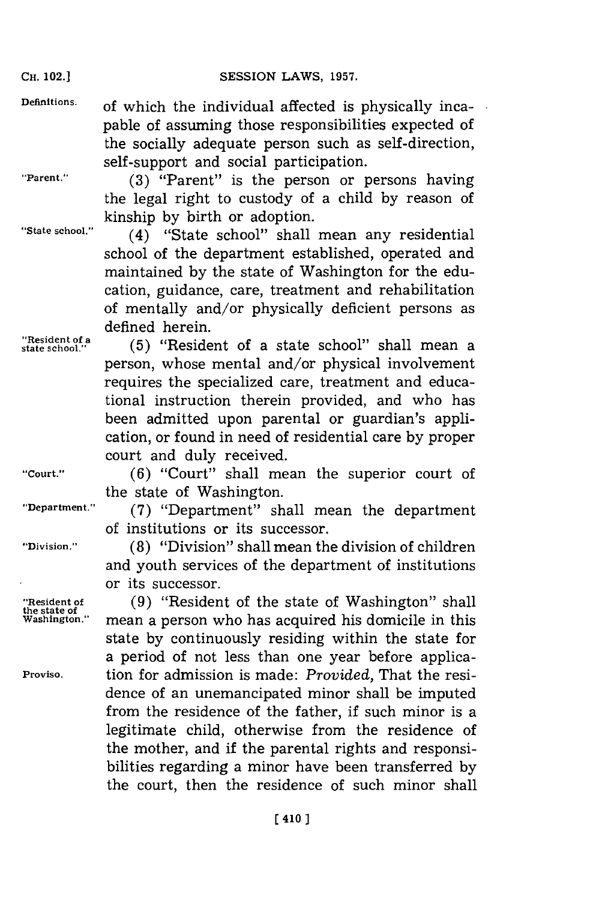**Definitions.** of which the individual affected is physically incapable of assuming those responsibilities expected of the socially adequate person such as self-direction, self-support and social participation.

**"Parent." (3)** "Parent" is the person or persons having the legal right to custody of a child **by** reason of kinship **by** birth or adoption.

**"State school."** (4) "State school" shall mean any residential school of the department established, operated and maintained **by** the state of Washington for the education, guidance, care, treatment and rehabilitation of mentally and/or physically deficient persons as defined herein.

"Resident of a **(5)** "Resident of a state school" shall mean a person, whose mental and/or physical involvement requires the specialized care, treatment and educational instruction therein provided, and who has been admitted upon parental or guardian's application, or found in need of residential care **by** proper court and duly received.

**"Court." (6)** "Court" shall mean the superior court of the state of Washington.

**"Department." (7)** "Department" shall mean the department of institutions or its successor.

**"Division." (8)** "Division" shall mean the division of children and youth services of the department of institutions or its successor.

**"Resident of (9)** "Resident of the state of Washington" shall mean a person who has acquired his domicile in this state **by** continuously residing within the state for a period of not less than one year before applica-**Proviso.** tion for admission is made: *Provided,* That the residence of an unemancipated minor shall be imputed from the residence of the father, if such minor is a legitimate child, otherwise from the residence of the mother, and if the parental rights and responsibilities regarding a minor have been transferred **by** the court, then the residence of such minor shall

**the state of**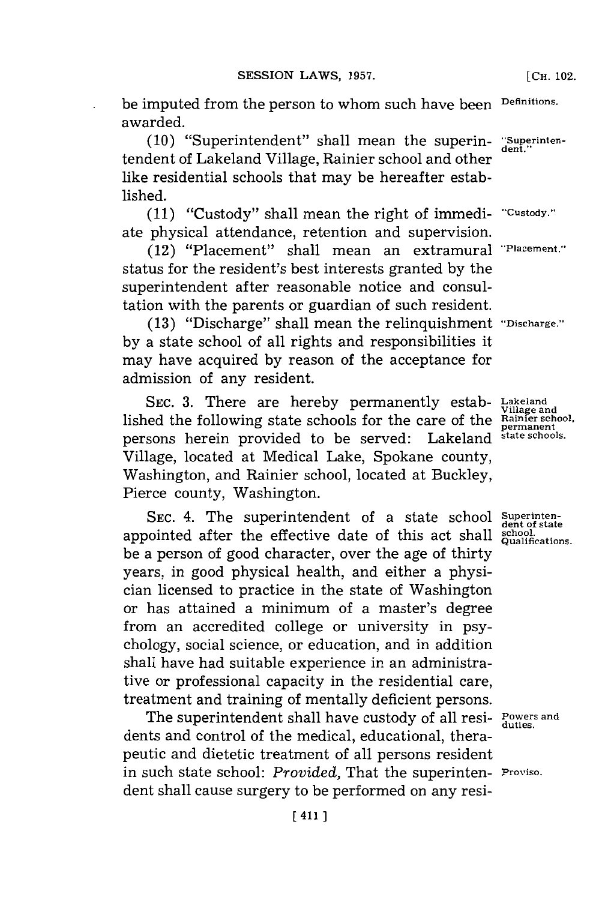be imputed from the person to whom such have been **Definitions.** awarded.

(10) "Superintendent" shall mean the superin- "Superintentendent of Lakeland Village, Rainier school and other like residential schools that may be hereafter established.

**(11)** "Custody" shall mean the right of immedi- **'Custody."** ate physical attendance, retention and supervision.

(12) "Placement" shall mean an extramural **"Placement."** status for the resident's best interests granted **by** the superintendent after reasonable notice and consultation with the parents or guardian of such resident.

**(13)** "Discharge" shall mean the relinquishment **"Discharge." by** a state school of all rights and responsibilities it may have acquired **by** reason of the acceptance for admission of any resident.

**SEC. 3.** There are hereby permanently estab- **Lakeland** lished the following state schools for the care of the **Rainier school, permanent** persons herein provided to be served: Lakeland **state schools.** Village, located at Medical Lake, Spokane county, Washington, and Rainier school, located at Buckley, Pierce county, Washington.

SEC. 4. The superintendent of a state school Superintenappointed after the effective date of this act shall school. be a person of good character, over the age of thirty years, in good physical health, and either a physician licensed to practice in the state of Washington or has attained a minimum of a master's degree from an accredited college or university in psychology, social science, or education, and in addition shall have had suitable experience in an administrative or professional capacity in the residential care, treatment and training of mentally deficient persons.

The superintendent shall have custody of all resi- Powers and dents and control of the medical, educational, therapeutic and dietetic treatment of all persons resident in such state school: *Provided,* That the superinten- **Proviso.** dent shall cause surgery to be performed on any resi-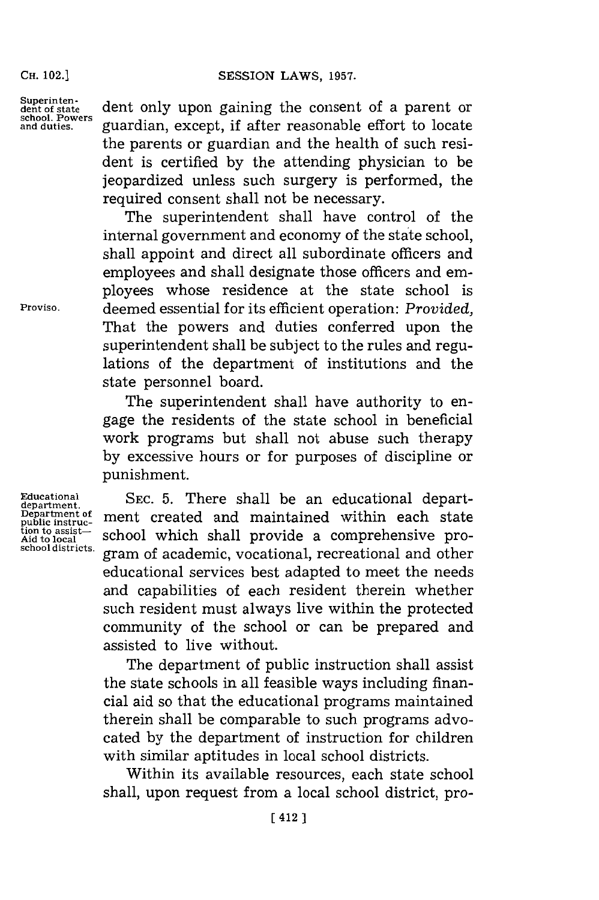### CH. **02.]SESSION** LAWS, **1957.**

**Superintendent of state school. Powers and duties.**

dent only upon gaining the consent of a parent or guardian, except, if after reasonable effort to locate the parents or guardian and the health of such resident is certified **by** the attending physician to be jeopardized unless such surgery is performed, the required consent shall not be necessary.

The superintendent shall have control of the internal government and economy of the state school, shall appoint and direct all subordinate officers and employees and shall designate those officers and employees whose residence at the state school is deemed essential **for** its efficient operation: *Provided,* That the powers and duties conferred upon the superintendent shall be subject to the rules and regulations of the department of institutions and the state personnel board.

The superintendent shall have authority to engage the residents of the state school in beneficial work programs but shall not abuse such therapy **by** excessive hours or for purposes of discipline or punishment.

**SEC. 5.** There shall be an educational department created and maintained within each state school which shall provide a comprehensive program of academic, vocational, recreational and other educational services best adapted to meet the needs and capabilities of each resident therein whether such resident must always live within the protected community of the school or can be prepared and assisted to live without.

The department of public instruction shall assist the state schools in all feasible ways including financial aid so that the educational programs maintained therein shall be comparable to such programs advocated by the department of instruction for children with similar aptitudes in local school districts.

Within its available resources, each state school shall, upon request from a local school district, pro-

**Proviso.**

**Educational department. Department of public instruc-tion to assist-Aid to localm school districts.**

# **CH.** 102.]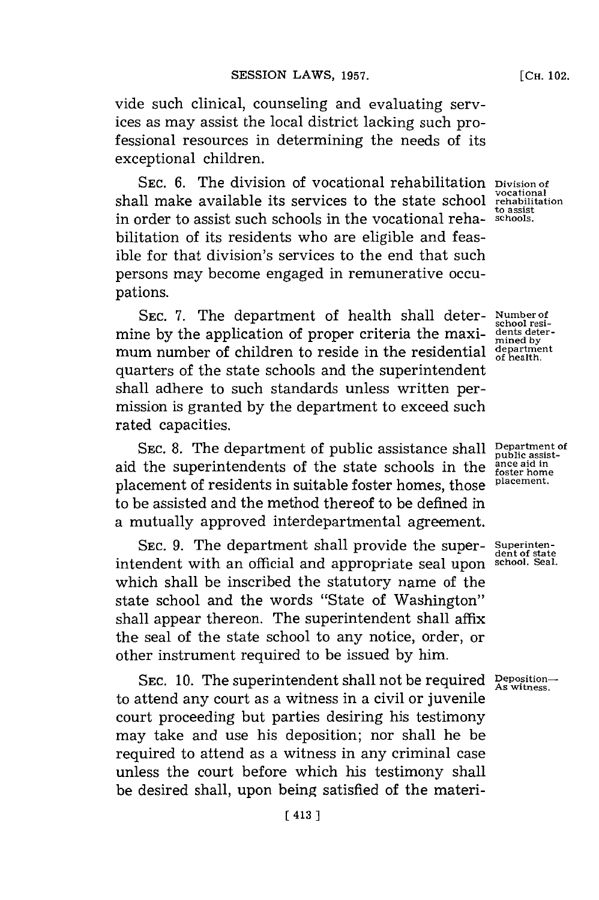vide such clinical, counseling and evaluating services as may assist the local district lacking such professional resources in determining the needs of its exceptional children.

SEC. 6. The division of vocational rehabilitation **Division of**<br>vocational shall make available its services to the state school **rehabilitation** in order to assist such schools in the vocational reha- **schools.** bilitation of its residents who are eligible and feasible for that division's services to the end that such persons may become engaged in remunerative occupations.

**SEC. 7.** The department of health shall deter- **Number of** mine by the application of proper criteria the maxi-  $\frac{d}{m}$  dents determum number of children to reside in the residential **department** quarters of the state schools and the superintendent shall adhere to such standards unless written permission is granted **by** the department to exceed such rated capacities.

SEC. 8. The department of public assistance shall **Department of** public assistaid the superintendents of the state schools in the placement of residents in suitable foster homes, those **placement.** to be assisted and the method thereof to be defined in a mutually approved interdepartmental agreement.

SEC. 9. The department shall provide the super- Superinten-<br>endent with an official and appropriate seal upon sehool Seal. intendent with an official and appropriate seal upon which shall be inscribed the statutory name of the state school and the words "State of Washington" shall appear thereon. The superintendent shall affix the seal of the state school to any notice, order, or other instrument required to be issued **by** him.

**SEC. 10.** The superintendent shall not be required **Deposition- As witness.** to attend any court as a witness in a civil or juvenile court proceeding but parties desiring his testimony may take and use his deposition; nor shall he be required to attend as a witness in any criminal case unless the court before which his testimony shall be desired shall, upon being satisfied of the materi-

**to assist**

**school rest-**

**foster home**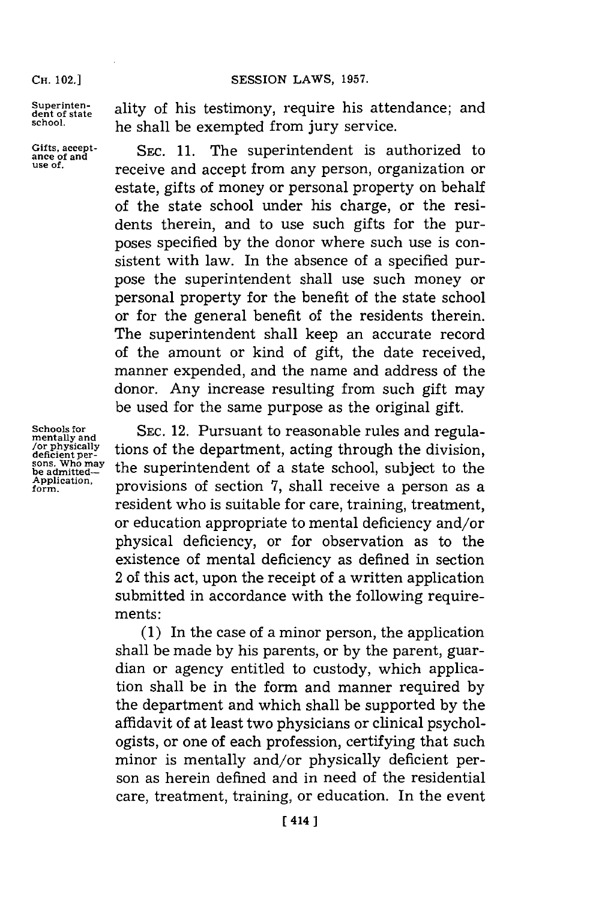### CH. **02.]SESSION** LAWS, **1957.**

**CH.** 102.1

Superinten-<br>dent of state ality of his testimony, require his attendance; and **school,** he shall be exempted from jury service.

Gifts, accept-<br>ance of and<br>**SEC. 11.** The superintendent is authorized to **use of.** receive and accept from any person, organization or estate, gifts of money or personal property on behalf of the state school under his charge, or the residents therein, and to use such gifts for the purposes specified **by** the donor where such use is consistent with law. In the absence of a specified purpose the superintendent shall use such money or personal property for the benefit of the state school or for the general benefit of the residents therein. The superintendent shall keep an accurate record of the amount or kind of gift, the date received, manner expended, and the name and address of the donor. Any increase resulting from such gift may be used for the same purpose as the original gift.

**Schools for mentally and** */or* **physically deficient per- sons. Who may be admitted-Application, form.**

**SEC.** 12. Pursuant to reasonable rules and regulations of the department, acting through the division, the superintendent of a state school, subject to the provisions of section **7,** shall receive a person as a resident who is suitable for care, training, treatment, or education appropriate to mental deficiency and/or physical deficiency, or for observation as to the existence of mental deficiency as defined in section 2 of this act, upon the receipt of a written application submitted in accordance with the following requirements:

**(1)** In the case of a minor person, the application shall be made **by** his parents, or **by** the parent, guardian or agency entitled to custody, which application shall be in the form and manner required **by** the department and which shall be supported **by** the affidavit of at least two physicians or clinical psychologists, or one of each profession, certifying that such minor is mentally and/or physically deficient person as herein defined and in need of the residential care, treatment, training, or education. In the event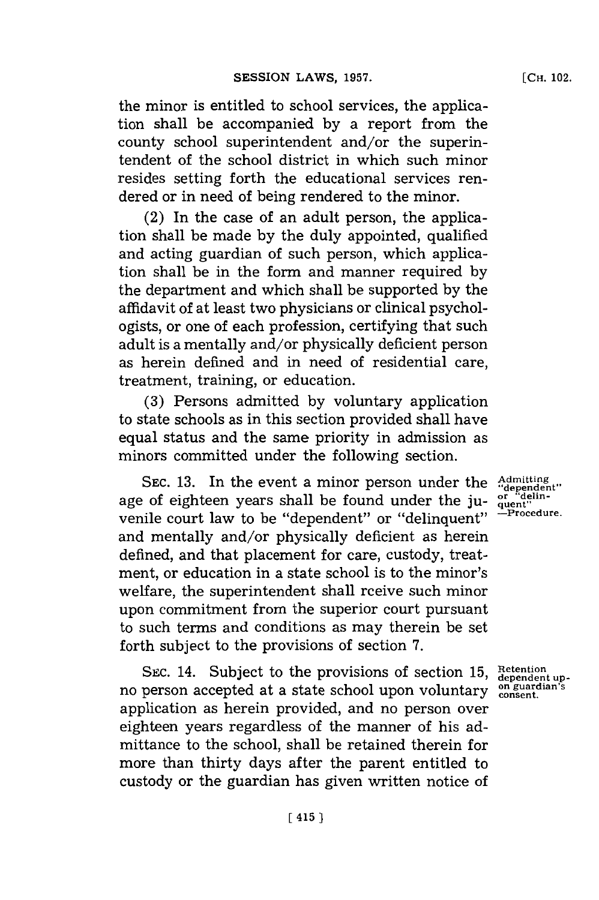the minor is entitled to school services, the application shall be accompanied **by** a report from the county school superintendent and/or the superintendent of the school district in which such minor resides setting forth the educational services rendered or in need of being rendered to the minor.

(2) In the case of an adult person, the application shall be made **by** the duly appointed, qualified and acting guardian of such person, which application shall be in the form and manner required **by** the department and which shall be supported **by** the affidavit of at least two physicians or clinical psychologists, or one of each profession, certifying that such adult is a mentally and/or physically deficient person as herein defined and in need of residential care, treatment, training, or education.

**(3)** Persons admitted **by** voluntary application to state schools as in this section provided shall have equal status and the same priority in admission as minors committed under the following section.

SEC. 13. In the event a minor person under the  $\frac{\text{Admitting}}{\text{dependent}}$ <br>And  $\frac{\text{Admitting}}{\text{deting}}$  of eighteen vears shall be found under the juage of eighteen years shall be found under the ju- <sup>or "delin-</sup><br>currile count least to be "dependent" on "delinguary" —Procedure. venile court law to be "dependent" or "delinquent" and mentally and/or physically deficient as herein defined, and that placement for care, custody, treatment, or education in a state school is to the minor's welfare, the superintendent shall rceive such minor upon commitment from the superior court pursuant to such terms and conditions as may therein be set forth subject to the provisions of section **7.**

SEC. 14. Subject to the provisions of section 15, Retention upno person accepted at a state school upon voluntary consent. application as herein provided, and no person over eighteen years regardless of the manner of his admittance to the school, shall be retained therein for more than thirty days after the parent entitled to custody or the guardian has given written notice of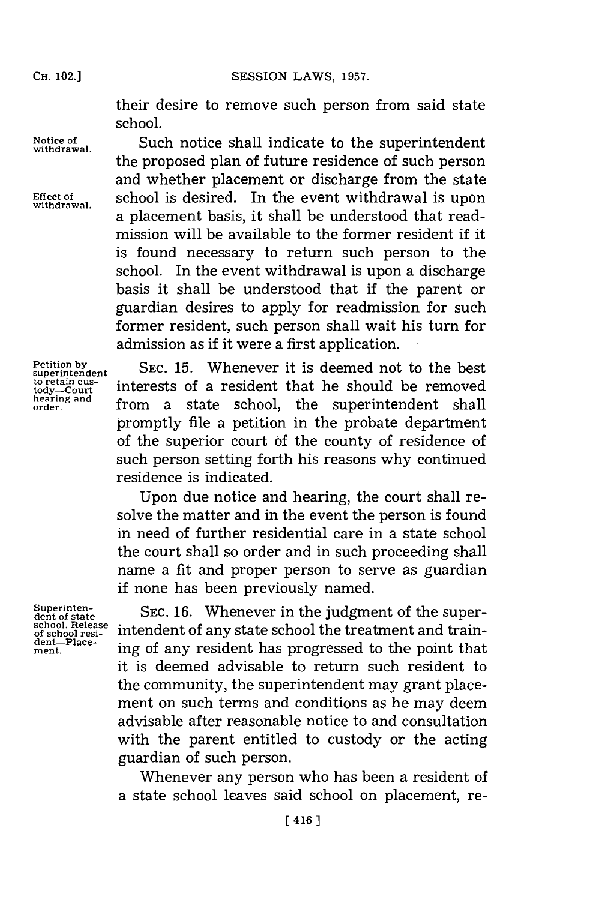**CH.** 102.)

their desire to remove such person from said state school.

Notice of **Such notice shall indicate to the superintendent** withdrawal.

the proposed plan of future residence of such person and whether placement or discharge from the state Effect of **school** is desired. In the event withdrawal is upon a placement basis, it shall be understood that readmission will be available to the former resident if it is found necessary to return such person to the school. In the event withdrawal is upon a discharge basis it shall be understood that if the parent or guardian desires to apply for readmission for such former resident, such person shall wait his turn for admission as if it were a first application.

**Petition by superintendent to retain cus- tody-Court hearing and order.**

**SEC. 15.** Whenever it is deemed not to the best interests of a resident that he should be removed from a state school, the superintendent shall promptly file a petition in the probate department of the superior court **of** the county of residence of such person setting forth his reasons why continued residence is indicated.

Upon due notice and hearing, the court shall resolve the matter and in the event the person is found in need of further residential care in a state school the court shall so order and in such proceeding shall name a fit and proper person to serve as guardian if none has been previously named.

**Superintendent of state school. Release of school resident-Placement.**

**SEC. 16.** Whenever in the judgment of the superintendent of any state school the treatment and training of any resident has progressed to the point that it is deemed advisable to return such resident to the community, the superintendent may grant placement on such terms and conditions as he may deem advisable after reasonable notice to and consultation with the parent entitled to custody or the acting guardian of such person.

Whenever any person who has been a resident of a state school leaves said school on placement, re-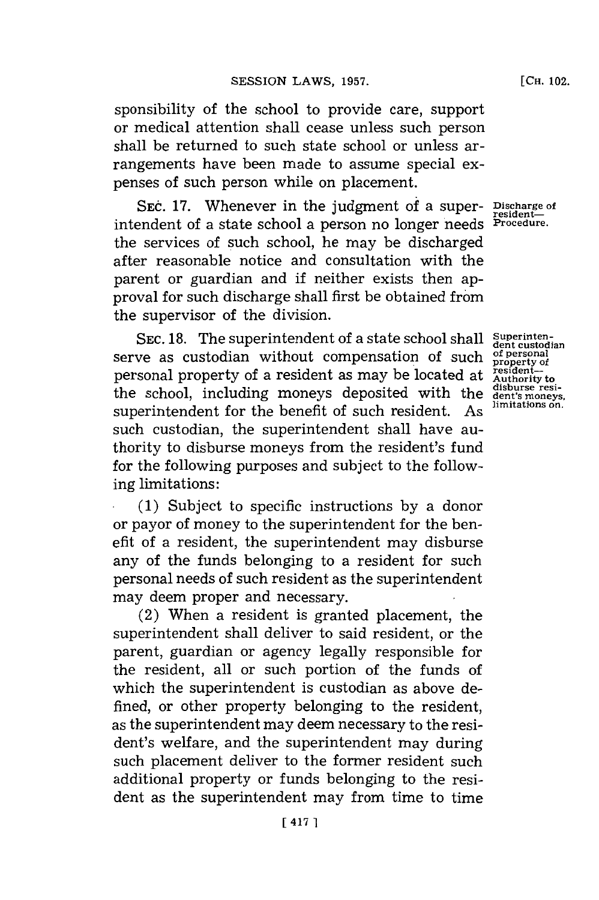sponsibility of the school to provide care, support or medical attention shall cease unless such person shall be returned to such state school or unless arrangements have been made to assume special expenses of such person while on placement.

**SEC. 17.** Whenever in the judgment of a super- **Discharge of** intendent of a state school a person no longer needs the services of such school, he may be discharged after reasonable notice and consultation with the parent or guardian and if neither exists then approval for such discharge shall first be obtained from the supervisor of the division.

SEC. 18. The superintendent of a state school shall superinten-<br> **SEC. 28.** <u>austedian</u> without componention of such of personal serve as custodian without compensation of such personal property of a resident as may be located at the school, including moneys deposited with the superintendent for the benefit of such resident. As such custodian, the superintendent shall have authority to disburse moneys from the resident's fund for the following purposes and subject to the following limitations:

**(1)** Subject to specific instructions **by** a donor or payor of money to the superintendent for the benefit of a resident, the superintendent may disburse any of the funds belonging to a resident for such personal needs of such resident as the superintendent may deem proper and necessary.

(2) When a resident is granted placement, the superintendent shall deliver to said resident, or the parent, guardian or agency legally responsible for the resident, all or such portion of the funds of which the superintendent is custodian as above defined, or other property belonging to the resident, as the superintendent may deem necessary to the resident's welfare, and the superintendent may during such placement deliver to the former resident such additional property or funds belonging to the resident as the superintendent may from time to time

resident—<br>Procedure.

**property of resident-Authority to disburse resident's moneys, limitations on.**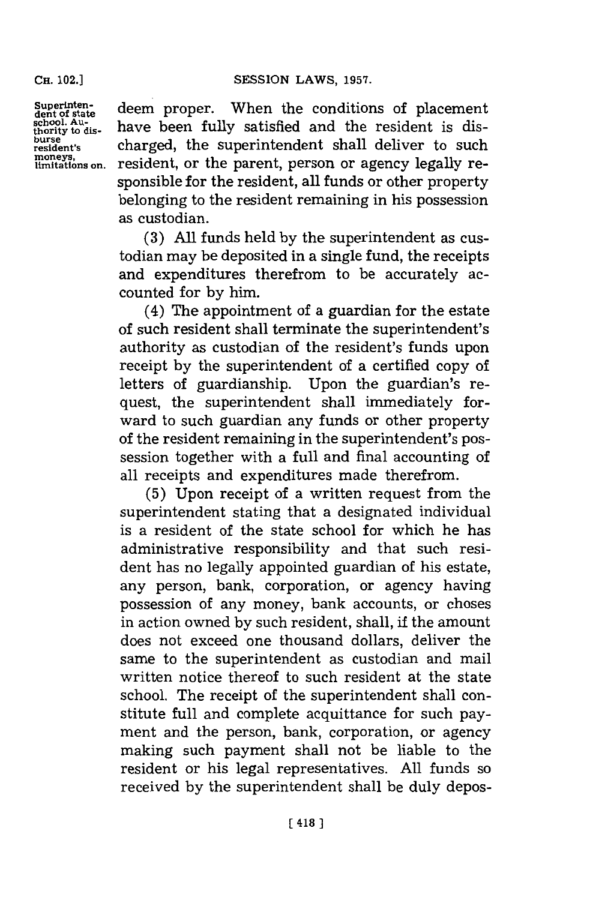**CH.** 102.]

moneys,<br>limitations on.

Superinten-<br>dent of state deem proper. When the conditions of placement<br>school. Au-<br>thority to dis-<br>have been fully satisfied and the resident is dis**burse burse** charged, the superintendent shall deliver to such resident, or the parent, person or agency legally responsible for the resident, all funds or other property belonging to the resident remaining in his possession as custodian.

> **(3) All** funds held **by** the superintendent as custodian may be deposited in a single fund, the receipts and expenditures therefrom to be accurately accounted for **by** him.

> (4) The appointment of a guardian for the estate of such resident shall terminate the superintendent's authority as custodian of the resident's funds upon receipt **by** the superintendent of a certified copy of letters of guardianship. Upon the guardian's request, the superintendent shall immediately forward to such guardian any funds or other property of the resident remaining in the superintendent's possession together with a full and final accounting of all receipts and expenditures made therefrom.

> **(5)** Upon receipt of a written request from the superintendent stating that a designated individual is a resident of the state school for which he has administrative responsibility and that such resident has no legally appointed guardian of his estate, any person, bank, corporation, or agency having possession of any money, bank accounts, or choses in action owned **by** such resident, shall, if the amount does not exceed one thousand dollars, deliver the same to the superintendent as custodian and mail written notice thereof to such resident at the state school. The receipt of the superintendent shall constitute full and complete acquittance for such payment and the person, bank, corporation, or agency making such payment shall not be liable to the resident or his legal representatives. **All** funds so received **by** the superintendent shall be duly depos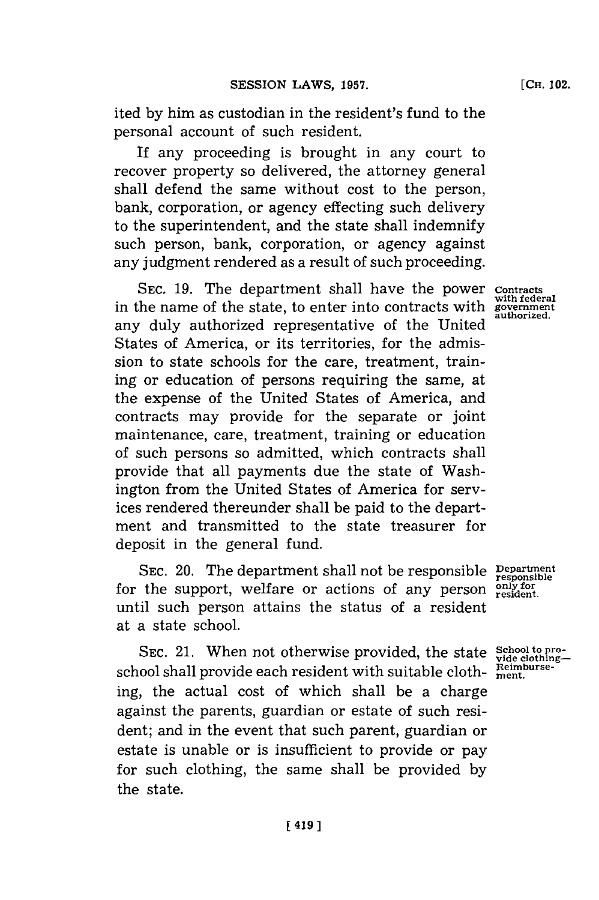ited **by** him as custodian in the resident's fund to the personal account of such resident.

If any proceeding is brought in any court to recover property so delivered, the attorney general shall defend the same without cost to the person, bank, corporation, or agency effecting such delivery to the superintendent, and the state shall indemnify such person, bank, corporation, or agency against any judgment rendered as a result of such proceeding.

**SEC. 19.** The department shall have the power **Contracts** in the name of the state, to enter into contracts with **government** any duly authorized representative of the United States of America, or its territories, for the admission to state schools for the care, treatment, training or education of persons requiring the same, at the expense of the United States of America, and contracts may provide for the separate or joint maintenance, care, treatment, training or education of such persons so admitted, which contracts shall provide that all payments due the state of Washington from the United States of America for services rendered thereunder shall be paid to the department and transmitted to the state treasurer for deposit in the general fund.

SEC. 20. The department shall not be responsible Pepartment for the support, welfare or actions of any person  $\frac{\text{only for}}{\text{resident}}$ until such person attains the status of a resident at a state school.

SEC. 21. When not otherwise provided, the state **School to pro**school shall provide each resident with suitable cloth-  $\frac{\text{Reimburst}}{\text{ment}}$ . ing, the actual cost of which shall be a charge against the parents, guardian or estate of such resident; and in the event that such parent, guardian or estate is unable or is insufficient to provide or pay for such clothing, the same shall be provided **by** the state.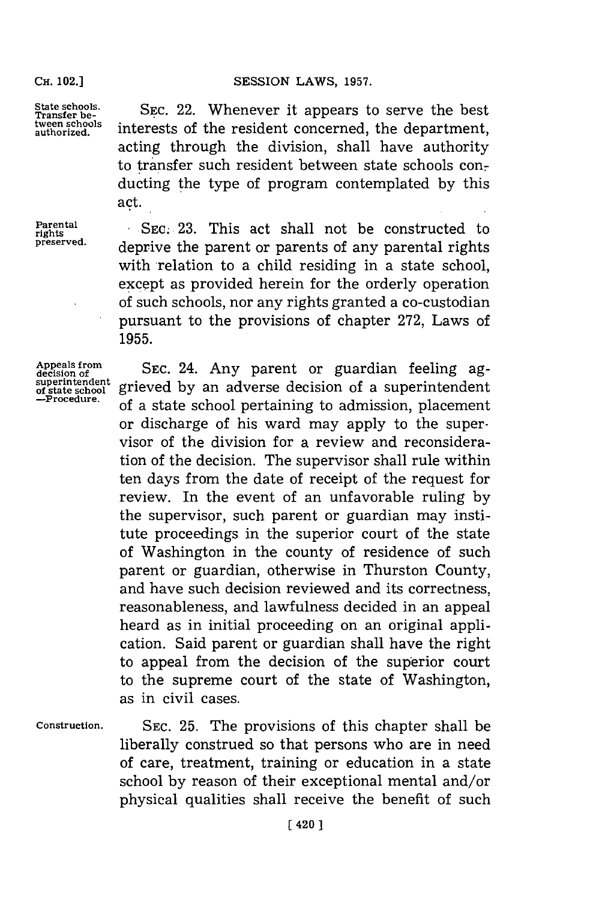### SESSION LAWS, 1957.

rights<br>preserved.

State schools. <br> **SEC. 22.** Whenever it appears to serve the best<br>
tween schools<br>
interacts of the regident concerned the depentment Transfer be-<br>tween schools interests of the resident concerned, the departement extended interests of the resident concerned, the depart acting through the division, shall have authority to transfer such resident between state schools conducting the type of program contemplated **by** this act.

**Parental** SEC. 23. This act shall not be constructed to deprive the parent or parents of any parental rights with relation to a child residing in a state school, except as provided herein for the orderly operation **of** such schools, nor any rights granted a co-custodian pursuant to the provisions of chapter **272,** Laws of **1955.**

**Appeals from decision of superintendent of state school -Procedure.**

**SEC.** 24. Any parent or guardian feeling aggrieved **by** an adverse decision of a superintendent of a state school pertaining to admission, placement or discharge of his ward may apply to the supervisor of the division for a review and reconsideration of the decision. The supervisor shall rule within ten days from the date of receipt of the request for review. In the event of an unfavorable ruling **by** the supervisor, such parent or guardian may institute proceedings in the superior court of the state of Washington in the county of residence of such parent or guardian, otherwise in Thurston County, and have such decision reviewed and its correctness, reasonableness, and lawfulness decided in an appeal heard as in initial proceeding on an original application. Said parent or guardian shall have the right to appeal from the decision of the superior court to the supreme court of the state of Washington, as in civil cases.

**Construction. SEC. 25.** The provisions of this chapter shall be liberally construed so that persons who are in need of care, treatment, training or education in a state school **by** reason of their exceptional mental and/or physical qualities shall receive the benefit of such

**CH.** 102.]